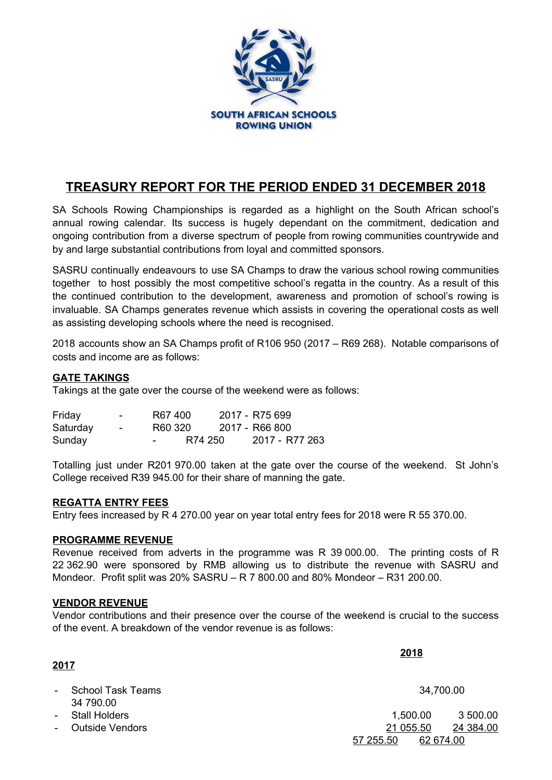

# **TREASURY REPORT FOR THE PERIOD ENDED 31 DECEMBER 2018**

SA Schools Rowing Championships is regarded as a highlight on the South African school's annual rowing calendar. Its success is hugely dependant on the commitment, dedication and ongoing contribution from a diverse spectrum of people from rowing communities countrywide and by and large substantial contributions from loyal and committed sponsors.

SASRU continually endeavours to use SA Champs to draw the various school rowing communities together to host possibly the most competitive school's regatta in the country. As a result of this the continued contribution to the development, awareness and promotion of school's rowing is invaluable. SA Champs generates revenue which assists in covering the operational costs as well as assisting developing schools where the need is recognised.

2018 accounts show an SA Champs profit of R106 950 (2017 – R69 268). Notable comparisons of costs and income are as follows:

# **GATE TAKINGS**

Takings at the gate over the course of the weekend were as follows:

| Friday   | $\sim$ | R67400  |         | 2017 - R75 699 |
|----------|--------|---------|---------|----------------|
| Saturday | $\sim$ | R60 320 |         | 2017 - R66 800 |
| Sunday   |        | $ -$    | R74 250 | 2017 - R77 263 |

Totalling just under R201 970.00 taken at the gate over the course of the weekend. St John's College received R39 945.00 for their share of manning the gate.

## **REGATTA ENTRY FEES**

Entry fees increased by R 4 270.00 year on year total entry fees for 2018 were R 55 370.00.

## **PROGRAMME REVENUE**

Revenue received from adverts in the programme was R 39 000.00. The printing costs of R 22 362.90 were sponsored by RMB allowing us to distribute the revenue with SASRU and Mondeor. Profit split was 20% SASRU – R 7 800.00 and 80% Mondeor – R31 200.00.

#### **VENDOR REVENUE**

Vendor contributions and their presence over the course of the weekend is crucial to the success of the event. A breakdown of the vendor revenue is as follows:

**2018**

| 2017       |                                  |           |           |
|------------|----------------------------------|-----------|-----------|
|            | - School Task Teams<br>34 790.00 |           | 34,700.00 |
|            | - Stall Holders                  | 1,500.00  | 3 500.00  |
| $\sim 100$ | Outside Vendors                  | 21 055.50 | 24 384.00 |
|            |                                  | 57 255.50 | 62 674.00 |